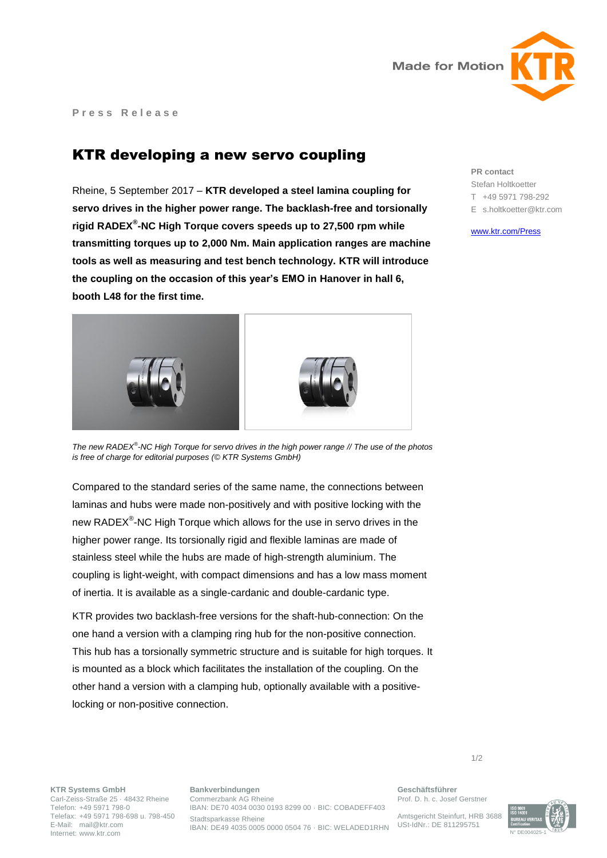

**P r e s s R e l e a s e**

## KTR developing a new servo coupling

Rheine, 5 September 2017 – **KTR developed a steel lamina coupling for servo drives in the higher power range. The backlash-free and torsionally rigid RADEX® -NC High Torque covers speeds up to 27,500 rpm while transmitting torques up to 2,000 Nm. Main application ranges are machine tools as well as measuring and test bench technology. KTR will introduce the coupling on the occasion of this year's EMO in Hanover in hall 6, booth L48 for the first time.**



*The new RADEX® -NC High Torque for servo drives in the high power range // The use of the photos is free of charge for editorial purposes (© KTR Systems GmbH)*

Compared to the standard series of the same name, the connections between laminas and hubs were made non-positively and with positive locking with the new RADEX<sup>®</sup>-NC High Torque which allows for the use in servo drives in the higher power range. Its torsionally rigid and flexible laminas are made of stainless steel while the hubs are made of high-strength aluminium. The coupling is light-weight, with compact dimensions and has a low mass moment of inertia. It is available as a single-cardanic and double-cardanic type.

KTR provides two backlash-free versions for the shaft-hub-connection: On the one hand a version with a clamping ring hub for the non-positive connection. This hub has a torsionally symmetric structure and is suitable for high torques. It is mounted as a block which facilitates the installation of the coupling. On the other hand a version with a clamping hub, optionally available with a positivelocking or non-positive connection.

**PR contact** Stefan Holtkoetter T +49 5971 798-292 E s.holtkoetter@ktr.com

[www.ktr.com/Press](https://www.ktr.com/en/press/press/)

**KTR Systems GmbH** Carl-Zeiss-Straße 25 · 48432 Rheine Telefon: +49 5971 798-0 Telefax: +49 5971 798-698 u. 798-450 E-Mail: mail@ktr.com

Internet: www.ktr.com

**Bankverbindungen** Commerzbank AG Rheine IBAN: DE70 4034 0030 0193 8299 00 · BIC: COBADEFF403 Stadtsparkasse Rheine IBAN: DE49 4035 0005 0000 0504 76 · BIC: WELADED1RHN

**Geschäftsführer** Prof. D. h. c. Josef Gerstner

Amtsgericht Steinfurt, HRB 3688 USt-IdNr.: DE 811295751



1/2